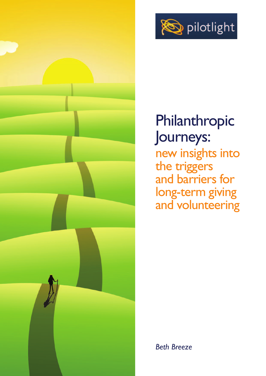

## Philanthropic Journeys: new insights into the triggers and barriers for long-term giving and volunteering



*Beth Breeze*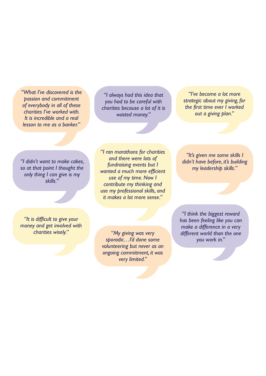*"What I've discovered is the passion and commitment of everybody in all of these charities I've worked with. It is incredible and a real lesson to me as a banker."*

*"I always had this idea that you had to be careful with charities because a lot of it is wasted money."*

*"I've become a lot more strategic about my giving, for the first time ever I worked out a giving plan."*

*"I didn't want to make cakes, so at that point I thought the only thing I can give is my skills."*

*"I ran marathons for charities and there were lots of fundraising events but I wanted a much more efficient use of my time. Now I contribute my thinking and use my professional skills, and it makes a lot more sense."*

*"It is difficult to give your money and get involved with charities wisely."*

*"My giving was very sporadic…I'd done some volunteering but never as an ongoing commitment, it was very limited."*

*"It's given me some skills I didn't have before, it's building my leadership skills."*

*"I think the biggest reward has been feeling like you can make a difference in a very different world than the one you work in."*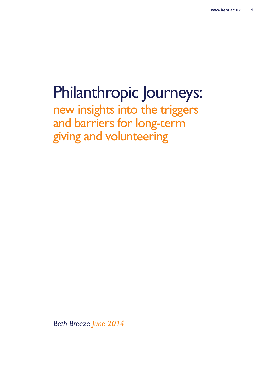# Philanthropic Journeys:

new insights into the triggers and barriers for long-term giving and volunteering

*Beth Breeze June 2014*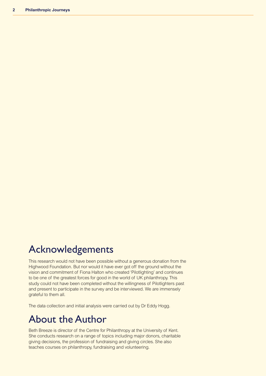### Acknowledgements

This research would not have been possible without a generous donation from the Highwood Foundation. But nor would it have ever got off the ground without the vision and commitment of Fiona Halton who created 'Pilotlighting' and continues to be one of the greatest forces for good in the world of UK philanthropy. This study could not have been completed without the willingness of Pilotlighters past and present to participate in the survey and be interviewed. We are immensely grateful to them all.

The data collection and initial analysis were carried out by Dr Eddy Hogg.

### About the Author

Beth Breeze is director of the Centre for Philanthropy at the University of Kent. She conducts research on a range of topics including major donors, charitable giving decisions, the profession of fundraising and giving circles. She also teaches courses on philanthropy, fundraising and volunteering.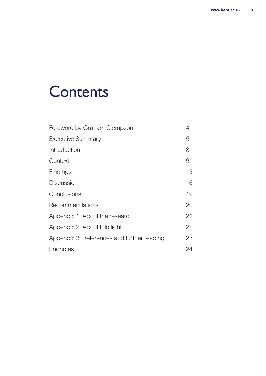# **Contents**

| Foreword by Graham Clempson                | 4  |
|--------------------------------------------|----|
| <b>Executive Summary</b>                   | 5  |
| Introduction                               | 8  |
| Context                                    | 9  |
| Findings                                   | 13 |
| <b>Discussion</b>                          | 16 |
| Conclusions                                | 19 |
| Recommendations                            | 20 |
| Appendix 1: About the research             | 21 |
| Appendix 2: About Pilotlight               | 22 |
| Appendix 3: References and further reading | 23 |
| Endnotes                                   | 24 |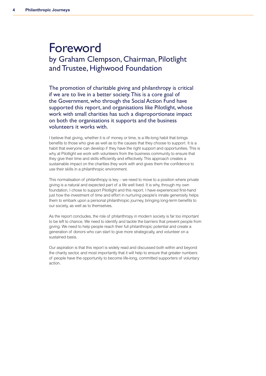### Foreword by Graham Clempson, Chairman, Pilotlight and Trustee, Highwood Foundation

The promotion of charitable giving and philanthropy is critical if we are to live in a better society.This is a core goal of the Government, who through the Social Action Fund have supported this report, and organisations like Pilotlight, whose work with small charities has such a disproportionate impact on both the organisations it supports and the business volunteers it works with.

I believe that giving, whether it is of money or time, is a life-long habit that brings benefits to those who give as well as to the causes that they choose to support. It is a habit that everyone can develop if they have the right support and opportunities. This is why at Pilotlight we work with volunteers from the business community to ensure that they give their time and skills efficiently and effectively. This approach creates a sustainable impact on the charities they work with and gives them the confidence to use their skills in a philanthropic environment.

This normalisation of philanthropy is key – we need to move to a position where private giving is a natural and expected part of a life well lived. It is why, through my own foundation, I chose to support Pilotlight and this report. I have experienced first-hand just how the investment of time and effort in nurturing people's innate generosity helps them to embark upon a personal philanthropic journey, bringing long-term benefits to our society, as well as to themselves.

As the report concludes, the role of philanthropy in modern society is far too important to be left to chance. We need to identify and tackle the barriers that prevent people from giving. We need to help people reach their full philanthropic potential and create a generation of donors who can start to give more strategically, and volunteer on a sustained basis.

Our aspiration is that this report is widely read and discussed both within and beyond the charity sector, and most importantly that it will help to ensure that greater numbers of people have the opportunity to become life-long, committed supporters of voluntary action.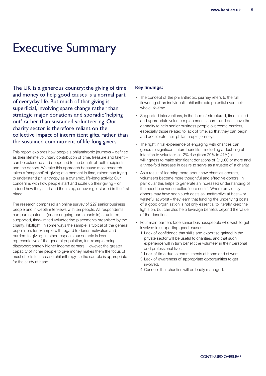## Executive Summary

The UK is a generous country: the giving of time and money to help good causes is a normal part of everyday life. But much of that giving is superficial, involving spare change rather than strategic major donations and sporadic 'helping out' rather than sustained volunteering. Our charity sector is therefore reliant on the collective impact of intermittent gifts, rather than the sustained commitment of life-long givers.

This report explores how people's philanthropic journeys – defined as their lifetime voluntary contribution of time, treasure and talent – can be extended and deepened to the benefit of both recipients and the donors. We take this approach because most research takes a 'snapshot' of giving at a moment in time, rather than trying to understand philanthropy as a dynamic, life-long activity. Our concern is with how people start and scale up their giving – or indeed how they start and then stop, or never get started in the first place.

The research comprised an online survey of 227 senior business people and in-depth interviews with ten people. All respondents had participated in (or are ongoing participants in) structured, supported, time-limited volunteering placements organised by the charity, Pilotlight. In some ways the sample is typical of the general population, for example with regard to donor motivation and barriers to giving. In other respects our sample is less representative of the general population, for example being disproportionately higher income earners. However, the greater capacity of richer people to give money makes them the focus of most efforts to increase philanthropy, so the sample is appropriate for the study at hand.

#### **Key findings:**

- The concept of the philanthropic journey refers to the full flowering of an individual's philanthropic potential over their whole life-time.
- Supported interventions, in the form of structured, time-limited and appropriate volunteer placements, can – and do – have the capacity to help senior business people overcome barriers, especially those related to lack of time, so that they can begin and accelerate their philanthropic journeys.
- The right initial experience of engaging with charities can generate significant future benefits – including a doubling of intention to volunteer, a 12% rise (from 29% to 41%) in willingness to make significant donations of £1,000 or more and a three-fold increase in desire to serve as a trustee of a charity.
- As a result of learning more about how charities operate, volunteers become more thoughtful and effective donors. In particular this helps to generate an increased understanding of the need to cover so-called 'core costs'. Where previously donors may have seen such costs as unattractive at best – or wasteful at worst – they learn that funding the underlying costs of a good organisation is not only essential to literally keep the lights on, but can also help leverage benefits beyond the value of the donation.
- Four main barriers face senior businesspeople who wish to get involved in supporting good causes:
	- 1 Lack of confidence that skills and expertise gained in the private sector will be useful to charities, and that such experience will in turn benefit the volunteer in their personal and professional lives.
	- 2 Lack of time due to commitments at home and at work.
	- 3 Lack of awareness of appropriate opportunities to get involved.
	- 4 Concern that charities will be badly managed.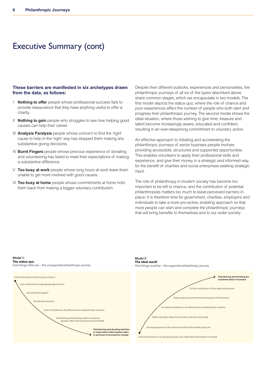### Executive Summary (cont)

#### **These barriers are manifested in six archetypes drawn from the data, as follows:**

- I **Nothing to offer** people whose professional success fails to provide reassurance that they have anything useful to offer a charity.
- II **Nothing to gain** people who struggles to see how helping good causes can help their career.
- III **Analysis Paralysis** people whose concern to find the 'right' cause to help in the 'right' way has stopped them making any substantive giving decisions.
- IV **Burnt Fingers** people whose previous experience of donating and volunteering has failed to meet their expectations of making a substantive difference.
- V **Too busy at work** people whose long hours at work leave them unable to get more involved with good causes.
- VI **Too busy at home** people whose commitments at home hold them back from making a bigger voluntary contribution.

Despite their different outlooks, experiences and personalities, the philanthropic journeys of all six of the types described above share common stages, which we encapsulate in two models. The first model depicts the status quo, where the role of chance and poor experiences affect the number of people who both start and progress their philanthropic journey. The second model shows the  ideal situation, where those wishing to give time, treasure and talent become increasingly aware, educated and confident, resulting in an ever-deepening commitment to voluntary action.

An effective approach to initiating and accelerating the philanthropic journeys of senior business people involves providing accessible, structured and supported opportunities. This enables volunteers to apply their professional skills and experience, and give their money in a strategic and informed way, for the benefit of charities and social enterprises seeking strategic input.

The role of philanthropy in modern society has become too important to be left to chance, and the contribution of potential philanthropists matters too much to leave perceived barriers in place. It is therefore time for government, charities, employers and .<br>individuals to take a more pro-active, enabling approach so that more people can start and complete the philanthropic journeys that will bring benefits to themselves and to our wider society.

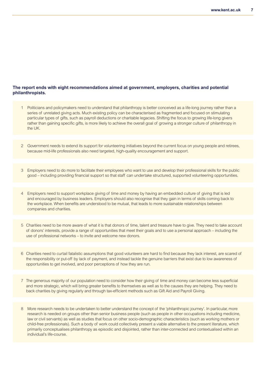#### **The report ends with eight recommendations aimed at government, employers, charities and potential philanthropists.**

- 1 Politicians and policymakers need to understand that philanthropy is better conceived as a life-long journey rather than a series of unrelated giving acts. Much existing policy can be characterised as fragmented and focused on stimulating particular types of gifts, such as payroll deductions or charitable legacies. Shifting the focus to growing life-long givers rather than gaining specific gifts, is more likely to achieve the overall goal of growing a stronger culture of philanthropy in the UK.
- 2 Government needs to extend its support for volunteering initiatives beyond the current focus on young people and retirees, because mid-life professionals also need targeted, high-quality encouragement and support.
- 3 Employers need to do more to facilitate their employees who want to use and develop their professional skills for the public good – including providing financial support so that staff can undertake structured, supported volunteering opportunities.
- 4 Employers need to support workplace giving of time and money by having an embedded culture of giving that is led and encouraged by business leaders. Employers should also recognise that they gain in terms of skills coming back to the workplace. When benefits are understood to be mutual, that leads to more sustainable relationships between companies and charities.
- 5 Charities need to be more aware of what it is that donors of time, talent and treasure have to give. They need to take account of donors' interests, provide a range of opportunities that meet their goals and to use a personal approach – including the use of professional networks – to invite and welcome new donors.
- 6 Charities need to curtail fatalistic assumptions that good volunteers are hard to find because they lack interest, are scared of the responsibility or put-off by lack of payment, and instead tackle the genuine barriers that exist due to low awareness of opportunities to get involved, and poor perceptions of how they are run.
- 7 The generous majority of our population need to consider how their giving of time and money can become less superficial and more strategic, which will bring greater benefits to themselves as well as to the causes they are helping. They need to back charities by giving regularly and through tax-efficient methods such as Gift Aid and Payroll Giving.
- 8 More research needs to be undertaken to better understand the concept of the 'philanthropic journey'. In particular, more research is needed on groups other than senior business people (such as people in other occupations including medicine, law or civil servants) as well as studies that focus on other socio-demographic characteristics (such as working mothers or child-free professionals). Such a body of work could collectively present a viable alternative to the present literature, which primarily conceptualises philanthropy as episodic and disjointed, rather than inter-connected and contextualised within an individual's life-course.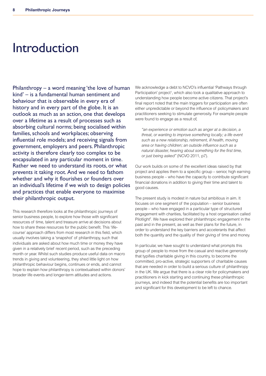## Introduction

Philanthropy – a word meaning 'the love of human kind' – is a fundamental human sentiment and behaviour that is observable in every era of history and in every part of the globe. It is an outlook as much as an action, one that develops over a lifetime as a result of processes such as absorbing cultural norms; being socialised within families, schools and workplaces; observing influential role models; and receiving signals from government, employers and peers. Philanthropic activity is therefore clearly too complex to be encapsulated in any particular moment in time. Rather we need to understand its roots, or what prevents it taking root. And we need to fathom whether and why it flourishes or founders over an individual's lifetime if we wish to design policies and practices that enable everyone to maximise their philanthropic output.

This research therefore looks at the philanthropic journeys of senior business people, to explore how those with significant resources of time, talent and treasure arrive at decisions about how to share these resources for the public benefit. This 'lifecourse' approach differs from most research in this field, which usually involves taking a 'snapshot' of philanthropy, such that individuals are asked about how much time or money they have given in a relatively brief recent period, such as the preceding month or year. Whilst such studies produce useful data on macro trends in giving and volunteering, they shed little light on how philanthropic behaviour begins, continues or ends, and cannot hope to explain how philanthropy is contextualised within donors' broader life events and longer-term attitudes and actions.

We acknowledge a debt to NCVO's influential 'Pathways through Participation' project<sup>1</sup>, which also took a qualitative approach to understanding how people become active citizens. That project's final report noted that the main triggers for participation are often either unpredictable or beyond the influence of policymakers and practitioners seeking to stimulate generosity. For example people were found to engage as a result of,

*"an experience or emotion such as anger at a decision, a threat, or wanting to improve something locally; a life event such as a new relationship, retirement, ill health, moving area or having children; an outside influence such as a natural disaster, hearing about something for the first time, or just being asked"* (NCVO 2011, p7).

Our work builds on some of the excellent ideas raised by that project and applies them to a specific group – senior, high earning business people – who have the capacity to contribute significant financial donations in addition to giving their time and talent to good causes.

The present study is modest in nature but ambitious in aim. It focuses on one segment of the population – senior business people – who have engaged in a particular type of structured engagement with charities, facilitated by a host organisation called Pilotlight<sup>2</sup>. We have explored their philanthropic engagement in the past and in the present, as well as their plans for the future, in order to understand the key barriers and accelerants that affect both the quantity and the quality of their giving of time and money.

In particular, we have sought to understand what prompts this group of people to move from the casual and reactive generosity that typifies charitable giving in this country, to become the committed, pro-active, strategic supporters of charitable causes that are needed in order to build a serious culture of philanthropy in the UK. We argue that there is a clear role for policymakers and practitioners in kick starting and continuing these philanthropic journeys, and indeed that the potential benefits are too important and significant for this development to be left to chance.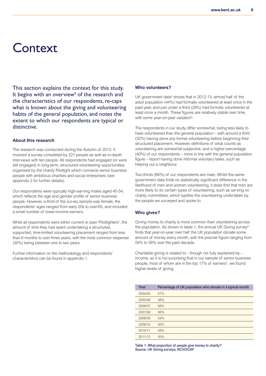### **Context**

This section explains the context for this study. It begins with an overview<sup>3</sup> of the research and the characteristics of our respondents, re-caps what is known about the giving and volunteering habits of the general population, and notes the extent to which our respondents are typical or distinctive.

#### **About this research**

The research was conducted during the Autumn of 2013. It involved a survey completed by 227 people as well as in-depth interviews with ten people. All respondents had engaged (or were still engaged) in long-term, structured volunteering opportunities, organised by the charity Pilotlight which connects senior business people with ambitious charities and social enterprises (see appendix 2 for further details).

Our respondents were typically high-earning males aged 45-54, which reflects the age and gender profile of senior business people. However, a third of the survey sample was female, the respondents' ages ranged from early 20s to over-65, and included a small number of lower-income earners.

While all respondents were either current or past 'Pilotlighters', the amount of time they had spent undertaking a structured, supported, time-limited volunteering placement ranged from less than 6 months to over three years, with the most common response (30%) being between one to two years.

Further information on the methodology and respondents' characteristics can be found in appendix 1.

#### **Who volunteers?**

UK government data<sup>4</sup> shows that in 2012-13, almost half of the adult population (44%) had formally volunteered at least once in the past year, and just under a third (29%) had formally volunteered at least once a month. These figures are relatively stable over time, with some year-on-year variation<sup>5</sup>.

The respondents in our study differ somewhat, being less likely to have volunteered than the general population – with around a third (32%) having done any formal volunteering before beginning their structured placement. However, definitions of what counts as volunteering are somewhat subjective, and a higher percentage (40%) of our respondents – more in line with the general population figure – report having done informal voluntary tasks, such as helping out a neighbour.

Two-thirds (66%) of our respondents are male. Whilst the same government data finds no statistically significant difference in the likelihood of men and women volunteering, it does find that men are more likely to do certain types of volunteering, such as serving on charity committees, which typifies the volunteering undertaken by the people we surveyed and spoke to.

#### **Who gives?**

Giving money to charity is more common than volunteering across the population. As shown in table 1, the annual UK Giving survey<sup>6</sup> finds that year-on-year over half the UK population donate some amount of money every month, with the precise figure ranging from 54% to 58% over the past decade.

Charitable giving is related to – though not fully explained by – income, so it is not surprising that in our sample of senior business people, most of whom are in the top 17% of earners<sup>7</sup>, we found higher levels of giving.

| Year    | Percentage of UK population who donate in a typical month |
|---------|-----------------------------------------------------------|
| 2004/05 | 57%                                                       |
| 2005/06 | 58%                                                       |
| 2006/07 | 56%                                                       |
| 2007/08 | 56%                                                       |
| 2008/09 | 54%                                                       |
| 2009/10 | 56%                                                       |
| 2010/11 | 58%                                                       |
| 2011/12 | 55%                                                       |

**Table 1: What proportion of people give money to charity? Source: UK Giving surveys, NCVO/CAF**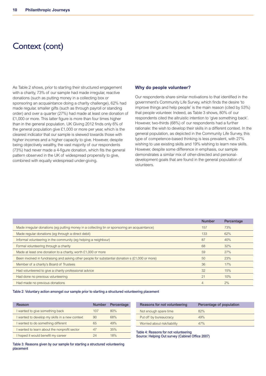### Context (cont)

As Table 2 shows, prior to starting their structured engagement with a charity, 73% of our sample had made irregular, reactive donations (such as putting money in a collecting box or sponsoring an acquaintance doing a charity challenge), 62% had made regular, smaller gifts (such as through payroll or standing order) and over a quarter (27%) had made at least one donation of £1,000 or more. This latter figure is more than four times higher than in the general population. UK Giving 2012 finds only 6% of the general population give £1,000 or more per year, which is the clearest indicator that our sample is skewed towards those with higher incomes and a higher capacity to give. However, despite being objectively wealthy, the vast majority of our respondents (73%) had never made a 4-figure donation, which fits the general pattern observed in the UK of widespread propensity to give, combined with equally widespread under-giving.

#### **Why do people volunteer?**

Our respondents share similar motivations to that identified in the government's Community Life Survey, which finds the desire 'to improve things and help people' is the main reason (cited by 53%) that people volunteer. Indeed, as Table 3 shows, 80% of our respondents cited the altruistic intention to 'give something back'. However, two-thirds (68%) of our respondents had a further rationale: the wish to develop their skills in a different context. In the general population, as depicted in the Community Life Survey, this type of competence-based thinking is less prevalent, with 27% wishing to use existing skills and 19% wishing to learn new skills. However, despite some difference in emphasis, our sample demonstrates a similar mix of other-directed and personaldevelopment goals that are found in the general population of volunteers.

|                                                                                                  | <b>Number</b> | Percentage |
|--------------------------------------------------------------------------------------------------|---------------|------------|
| Made irregular donations (eq putting money in a collecting tin or sponsoring an acquaintance)    | 157           | 73%        |
| Made regular donations (eg through a direct debit)                                               | 133           | 62%        |
| Informal volunteering in the community (eg helping a neighbour)                                  | 87            | 40%        |
| Formal volunteering through a charity                                                            | 68            | 32%        |
| Made at least one donation to a charity, worth £1,000 or more                                    | 59            | 27%        |
| Been involved in fundraising and asking other people for substantial donation s (£1,000 or more) | 50            | 23%        |
| Member of a charity's Board of Trustees                                                          | 36            | 17%        |
| Had volunteered to give a charity professional advice                                            | 32            | 15%        |
| Had done no previous volunteering                                                                | 21            | 10%        |
| Had made no previous donations                                                                   | 4             | 2%         |

#### **Table 2: Voluntary action amongst our sample prior to starting a structured volunteering placement**

| Reason                                         | <b>Number</b> | Percentage |
|------------------------------------------------|---------------|------------|
| I wanted to give something back                | 107           | 80%        |
| I wanted to develop my skills in a new context | 90            | 68%        |
| I wanted to do something different             | 65            | 49%        |
| I wanted to learn about the nonprofit sector   | 47            | 35%        |
| I hoped it would benefit my career             | 24            | $18\%$     |

| Reasons for not volunteering | Percentage of population |
|------------------------------|--------------------------|
| Not enough spare time        | 82%                      |
| Put off by bureaucracy       | 49%                      |
| Worried about risk/liability | 47%                      |

**Table 4: Reasons for not volunteering**

**Source: Helping Out survey (Cabinet Office 2007)**

**Table 3: Reasons given by our sample for starting a structured volunteering placement**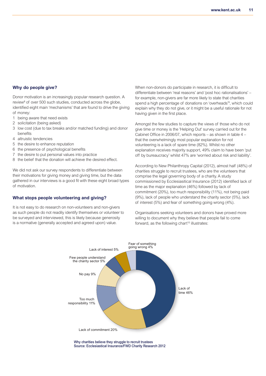#### **Why do people give?**

Donor motivation is an increasingly popular research question. A review<sup>8</sup> of over 500 such studies, conducted across the globe, identified eight main 'mechanisms' that are found to drive the giving of money:

- 1 being aware that need exists
- 2 solicitation (being asked)
- 3 low cost (due to tax breaks and/or matched funding) and donor benefits
- 4 altruistic tendencies
- 5 the desire to enhance reputation
- 6 the presence of psychological benefits
- 7 the desire to put personal values into practice
- 8 the belief that the donation will achieve the desired effect.

We did not ask our survey respondents to differentiate between their motivations for giving money and giving time, but the data gathered in our interviews is a good fit with these eight broad types of motivation.

#### **What stops people volunteering and giving?**

It is not easy to do research on non-volunteers and non-givers as such people do not readily identify themselves or volunteer to be surveyed and interviewed, this is likely because generosity is a normative (generally accepted and agreed upon) value.

When non-donors do participate in research, it is difficult to differentiate between 'real reasons' and 'post hoc rationalisations' – for example, non-givers are far more likely to state that charities spend a high percentage of donations on 'overheads' 9 , which could explain why they do not give, or it might be a useful rationale for not having given in the first place.

Amongst the few studies to capture the views of those who do not give time or money is the 'Helping Out' survey carried out for the Cabinet Office in 2006/07, which reports – as shown in table 4 – that the overwhelmingly most popular explanation for not volunteering is a lack of spare time (82%). Whilst no other explanation receives majority support, 49% claim to have been 'put off by bureaucracy' whilst 47% are 'worried about risk and liability'.

According to New Philanthropy Capital (2012), almost half (48%) of charities struggle to recruit trustees, who are the volunteers that comprise the legal governing body of a charity. A study commissioned by Ecclesiasitical Insurance (2012) identified lack of time as the major explanation (46%) followed by lack of commitment (20%), too much responsibility (11%), not being paid (9%), lack of people who understand the charity sector (5%), lack of interest (5%) and fear of something going wrong (4%).

Organisations seeking volunteers and donors have proved more willing to document why they believe that people fail to come forward, as the following chart <sup>10</sup> illustrates:



**Why charities believe they struggle to recruit trustees Source: Ecclesiastical Insurance/FWD Charity Research 2012**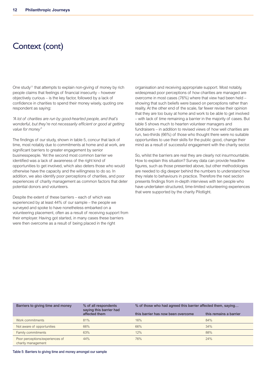### Context (cont)

One study<sup>11</sup> that attempts to explain non-giving of money by rich people claims that feelings of financial insecurity – however objectively curious – is the key factor, followed by a lack of confidence in charities to spend their money wisely, quoting one respondent as saying:

*"A lot of charities are run by good-hearted people, and that's wonderful, but they're not necessarily efficient or good at getting value for money"*

The findings of our study, shown in table 5, concur that lack of time, most notably due to commitments at home and at work, are significant barriers to greater engagement by senior businesspeople. Yet the second most common barrier we identified was a lack of awareness of the right kind of opportunities to get involved, which also deters those who would otherwise have the capacity and the willingness to do so. In addition, we also identify poor perceptions of charities, and poor experiences of charity management as common factors that deter potential donors and volunteers.

Despite the extent of these barriers – each of which was experienced by at least 44% of our sample – the people we surveyed and spoke to have nonetheless embarked on a volunteering placement, often as a result of receiving support from their employer. Having got started, in many cases these barriers were then overcome as a result of being placed in the right

organisation and receiving appropriate support. Most notably, widespread poor perceptions of how charities are managed are overcome in most cases (76%) where that view had been held – showing that such beliefs were based on perceptions rather than reality. At the other end of the scale, far fewer revise their opinion that they are too busy at home and work to be able to get involved – with lack of time remaining a barrier in the majority of cases. But table 5 shows much to hearten volunteer managers and fundraisers – in addition to revised views of how well charities are run, two-thirds (66%) of those who thought there were no suitable opportunities to use their skills for the public good, change their mind as a result of successful engagement with the charity sector.

So, whilst the barriers are real they are clearly not insurmountable. How to explain this situation? Survey data can provide headline figures, such as those presented above, but other methodologies are needed to dig deeper behind the numbers to understand how they relate to behaviours in practice. Therefore the next section presents findings from in-depth interviews with ten people who have undertaken structured, time-limited volunteering experiences that were supported by the charity Pilotlight.

| Barriers to giving time and money                     | % of all respondents<br>saying this barrier had<br>affected them | % of those who had agreed this barrier affected them, saying |                        |  |
|-------------------------------------------------------|------------------------------------------------------------------|--------------------------------------------------------------|------------------------|--|
|                                                       |                                                                  | this barrier has now been overcome                           | this remains a barrier |  |
| Work commitments                                      | 81%                                                              | 16%                                                          | 84%                    |  |
| Not aware of opportunities                            | 66%                                                              | 66%                                                          | 34%                    |  |
| <b>Family commitments</b>                             | 63%                                                              | 12%                                                          | 88%                    |  |
| Poor perceptions/experiences of<br>charity management | 44%                                                              | 76%                                                          | 24%                    |  |

**Table 5: Barriers to giving time and money amongst our sample**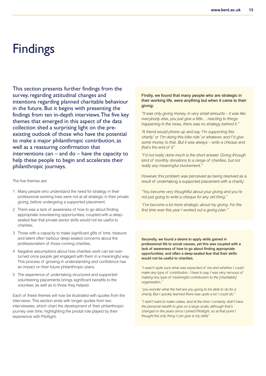## **Findings**

This section presents further findings from the survey, regarding attitudinal changes and intentions regarding planned charitable behaviour in the future. But it begins with presenting the findings from ten in-depth interviews.The five key themes that emerged in this aspect of the data collection shed a surprising light on the preexisting outlook of those who have the potential to make a major philanthropic contribution, as well as a reassuring confirmation that interventions  $can - and do - have the capacity to$ help these people to begin and accelerate their philanthropic journeys.

The five themes are:

- 1 Many people who understand the need for strategy in their professional working lives were not at all strategic in their private giving, before undergoing a supported placement.
- 2 There was a lack of awareness of how to go about finding appropriate volunteering opportunities, coupled with a deepseated fear that private sector skills would not be useful to charities.
- 3 Those with a capacity to make significant gifts of time, treasure and talent often harbour deep-seated concerns about the professionalism of those running charities.
- 4 Negative assumptions about how charities work can be overturned once people get engaged with them in a meaningful way. This process of growing in understanding and confidence has an impact on their future philanthropic plans.
- 5 The experience of undertaking structured and supported volunteering placements brings significant benefits to the volunteer, as well as to those they helped.

Each of these themes will now be illustrated with quotes from the interviews. This section ends with longer quotes from two interviewees, which chart the development of their philanthropic journey over time, highlighting the pivotal role played by their experience with Pilotlight.

#### **Firstly, we found that many people who are strategic in their working life, were anything but when it came to their giving:**

*"It was only giving money, in very small amounts – it was like everybody else, you just give a little… reacting to things happening in the news, there was no strategy behind it."*

*"A friend would phone up and say 'I'm supporting this charity' or 'I'm doing this bike ride' or whatever, and I'd give some money to that. But it was always – write a cheque and that's the end of it"*

*"I'd not really done much is the short answer. Giving through kind of monthly donations to a range of charities, but not really any meaningful involvement."*

However, this problem was perceived as being resolved as a result of undertaking a supported placement with a charity:

*"You become very thoughtful about your giving and you're not just going to write a cheque for any old thing."*

*"I've become a lot more strategic about my giving. For the first time ever this year I worked out a giving plan."*

**Secondly, we found a desire to apply skills gained in professional life to social causes, yet this was coupled with a lack of awareness of how to go about finding appropriate opportunities, and often a deep-seated fear that their skills would not be useful to charities.**

*"I wasn't quite sure what was expected of me and whether I could make any type of contribution. I have to say, I was very nervous of making any type of meaningful contribution to the [charitable] organisation."*

*"you wonder what the hell are you going to be able to do for a charity. But I quickly learned there was quite a lot I could do."*

*"I didn't want to make cakes, and at the time I certainly didn't have the personal wealth to give on a large scale, although that's changed in the years since I joined Pilotlight, so at that point I thought the only thing I can give is my skills"*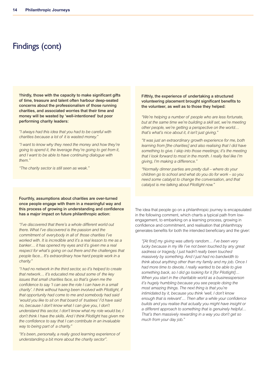### Findings (cont)

**Thirdly, those with the capacity to make significant gifts of time, treasure and talent often harbour deep-seated concerns about the professionalism of those running charities, and associated worries that their time and money will be wasted by 'well-intentioned' but poor performing charity leaders:**

*"I always had this idea that you had to be careful with charities because a lot of it is wasted money."*

*"I want to know why they need the money and how they're going to spend it, the leverage they're going to get from it, and I want to be able to have continuing dialogue with them."*

*"The charity sector is still seen as weak."*

**Fourthly, assumptions about charities are over-turned once people engage with them in a meaningful way and this process of growing in understanding and confidence has a major impact on future philanthropic action:**

*"I've discovered that there's a whole different world out there. What I've discovered is the passion and the commitment of everybody in all of those charities I've worked with. It is incredible and it's a real lesson to me as a banker… it has opened my eyes and it's given me a real respect for what's going on out there and the challenges that people face... It's extraordinary how hard people work in a charity."*

*"I had no network in the third sector, so it's helped to create that network… it's educated me about some of the key issues that small charities face, so that's given me the confidence to say 'I can see the role I can have in a small charity'. I think without having been involved with Pilotlight, if that opportunity had come to me and somebody had said 'would you like to sit on that board of trustees' I'd have said no, because I don't know what I can give you, I don't understand this sector, I don't know what my role would be, I don't think I have the skills. And I think Pilotlight has given me the confidence to say that I can contribute in an invaluable way to being part of a charity."*

*"It's been, personally, a really good learning experience of understanding a bit more about the charity sector".*

#### **Fifthly, the experience of undertaking a structured volunteering placement brought significant benefits to the volunteer, as well as to those they helped:**

*"We're helping a number of people who are less fortunate, but at the same time we're building a skill set, we're meeting other people, we're getting a perspective on the world… that's what's nice about it, it isn't just giving."*

*"It was just an extraordinary growth experience for me, both learning from [the charities] and also realising that I did have something to give. I skip into those meetings; it's the meeting that I look forward to most in the month. I really feel like I'm giving, I'm making a difference."*

*"Normally dinner parties are pretty dull – where do your children go to school and what do you do for work – so you need some catalyst to change the conversation, and that catalyst is me talking about Pilotlight now."*

The idea that people go on a philanthropic journey is encapsulated in the following comment, which charts a typical path from lowengagement, to embarking on a learning process, growing in confidence and commitment, and realisation that philanthropy generates benefits for both the intended beneficiary and the giver:

*"[At first] my giving was utterly random… I've been very lucky because in my life I've not been touched by any great sadness or tragedy, I just hadn't really been touched massively by something. And I just had no bandwidth to think about anything other than my family and my job. Once I had more time to devote, I really wanted to be able to give something back, so I did go looking for it [for Pilotlight]… When you start in the charitable world as a businessperson it's hugely humbling because you see people doing the most amazing things. The next thing is that you're intimidated by it, because you think 'well, I don't know enough that is relevant'… Then after a while your confidence builds and you realise that actually you might have insight or a different approach to something that is genuinely helpful… That's then massively rewarding in a way you don't get so much from your day job."*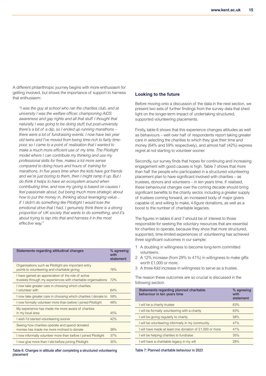A different philanthropic journey begins with more enthusiasm for getting involved, but shows the importance of support to harness that enthusiasm:

*"I was the guy at school who ran the charities club, and at university I was the welfare officer, championing AIDS awareness and gay rights and all that stuff. I thought that naturally I was going to be doing stuff, but post-university there's a bit of a dip, so I ended up running marathons – there were a lot of fundraising events. I now have two year old twins and I've moved from being time-rich to fairly timepoor, so I came to a point of realisation that I wanted to make a much more efficient use of my time. The Pilotlight model where I can contribute my thinking and use my professional skills for free, makes a lot more sense compared to doing hours and hours of training for marathons. In five years time when the kids have got friends and we're just boring to them, then I might ramp it up. But I do think it helps to have an ecosystem around when contributing time, and now my giving is based on causes I feel passionate about, but being much more strategic about how to put the money in, thinking about leveraging value… If I didn't do something like Pilotlight I would lose the emotional drive that I had. I genuinely think there is a strong proportion of UK society that wants to do something, and it's about trying to tap into that and harness it in the most effective way."*

| Statements regarding attitudinal changes                                                                             | % agreeing<br>with<br>statement |
|----------------------------------------------------------------------------------------------------------------------|---------------------------------|
| Organisations such as Pilotlight are important entry<br>points to volunteering and charitable giving                 | 76%                             |
| I have gained an appreciation of the role of active<br>trustees through my experiences with charitable organisations | 72%                             |
| I now take greater care in choosing which charities<br>I volunteer with                                              | 64%                             |
| I now take greater care in choosing which charities I donate to                                                      | 59%                             |
| I now formally volunteer more than before I joined Pilotlight                                                        | 48%                             |
| My experience has made me more aware of charities<br>in my local area                                                | 45%                             |
| I wish I'd started volunteering sooner                                                                               | 42%                             |
| Seeing how charities operate and spend donated<br>monies has made me more inclined to donate                         | 38%                             |
| I now informally volunteer more than before I joined Pilotlight                                                      | 37%                             |
| I now give more than I did before joining Pilotlight                                                                 | 35%                             |

**Table 6: Changes in attitude after completing a structured volunteering placement**

#### **Looking to the future**

Before moving onto a discussion of the data in the next section, we present two sets of further findings from the survey data that shed light on the longer-term impact of undertaking structured, supported volunteering placements.

Firstly, table 6 shows that this experience changes attitudes as well as behaviours – well over half of respondents report taking greater care in selecting the charities to which they give their time and money (64% and 59% respectively), and almost half (42%) express regret at not starting to volunteer sooner.

Secondly, our survey finds that hopes for continuing and increasing engagement with good causes is high. Table 7 shows that more than half the people who participated in a structured volunteering placement plan to have significant involved with charities – as trustees, donors and volunteers – in ten years time. If realised, these behavioural changes over the coming decade should bring significant benefits to the charity sector, including a greater supply of trustees coming forward, an increased body of major givers capable of, and willing to make, 4-figure donations, as well as a boost to the number of charitable legacies.

The figures in tables 6 and 7 should be of interest to those responsible for seeking the voluntary resources that are essential for charities to operate, because they show that more structured, supported, time-limited experiences of volunteering has achieved three significant outcomes in our sample:

- 1 A doubling in willingness to become long-term committed volunteers.
- 2 A 12% increase (from 29% to 41%) in willingness to make gifts worth £1,000 or more.
- 3 A three-fold increase in willingness to serve as a trustee.

The reason these outcomes are so crucial is discussed in the following section.

| Statements regarding planned charitable<br>behaviour in ten years time | % agreeing<br>with<br>statement |
|------------------------------------------------------------------------|---------------------------------|
| I will be a charity trustee                                            | 63%                             |
| I will be formally volunteering with a charity                         | 63%                             |
| I will be giving regularly to charity                                  | 58%                             |
| I will be volunteering informally in my community                      | 47%                             |
| I will have made at least one donation of £1,000 or more               | 41%                             |
| I will be helping charities to fundraise                               | 35%                             |
| I will have a charitable legacy in my will                             | 28%                             |

**Table 7: Planned charitable behaviour in 2023**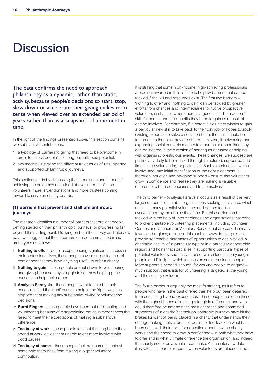## **Discussion**

The data confirms the need to approach philanthropy as a dynamic, rather than static, activity, because people's decisions to start, stop, slow down or accelerate their giving makes more sense when viewed over an extended period of years rather than as a 'snapshot' of a moment in time.

In the light of the findings presented above, this section contains two substantive contributions:

- 1 a typology of barriers to giving that need to be overcome in order to unlock people's life-long philanthropic potential.
- 2 two models illustrating the different trajectories of unsupported and supported philanthropic journeys.

This sections ends by discussing the importance and impact of achieving the outcomes described above, in terms of more volunteers, more larger donations and more trustees coming forward to serve on charity boards.

#### **(1) Barriers that prevent and stall philanthropic journeys**

The research identifies a number of barriers that prevent people getting started on their philanthropic journeys, or progressing far beyond the starting point. Drawing on both the survey and interview data, we suggest that these barriers can be summarised in six archetypes as follows:

- I **Nothing to offer** despite experiencing significant success in their professional lives, these people have a surprising lack of confidence that they have anything useful to offer a charity.
- II **Nothing to gain** these people are not drawn to volunteering and giving because they struggle to see how helping good causes can help their career.
- III **Analysis Paralysis** these people want to help but their concern to find the 'right' cause to help in the 'right' way has stopped them making any substantive giving or volunteering decisions.
- IV **Burnt Fingers** these people have been put off donating and volunteering because of disappointing previous experiences that failed to meet their expectations of making a substantive difference.
- V **Too busy at work** these people feel that the long hours they spend at work leaves them unable to get more involved with good causes.
- VI **Too busy at home** these people feel their commitments at home hold them back from making a bigger voluntary contribution.

It is striking that some high-income, high-achieving professionals are being thwarted in their desire to help by barriers that can be tackled if the will and resources exist. The first two barriers – 'nothing to offer' and 'nothing to gain' can be tackled by greater efforts from charities and intermediaries to involve prospective volunteers in charities where there is a good 'fit' of both donors' skills/expertise and the benefits they hope to gain as a result of getting involved. For example, if a potential volunteer wishes to gain a particular new skill to take back to their day job, or hopes to apply existing expertise to solve a social problem, then this should be factored into the roles they are offered. Likewise, if networking and expanding social contacts matters to a particular donor, then they can be steered in the direction of serving as a trustee or helping with organising prestigious events. These changes, we suggest, are particularly likely to be realised through structured, supported and time-limited volunteering opportunities. Such experiences – which involve accurate initial identification of the right placement, a thorough induction and on-going support – ensure that volunteers grow in confidence and realise they are making a valuable difference to both beneficiaries and to themselves.

The third barrier – 'Analysis Paralysis' occurs as a result of the very large number of charitable organisations seeking assistance, which results in many potential volunteers and donors feeling overwhelmed by the choice they face. But this barrier can be tackled with the help of intermediaries and organisations that exist to broker charitable volunteering placements, including Volunteer Centres and Councils for Voluntary Service that are based in many towns and regions; online portals such as www.do-it.org.uk that provide searchable databases of opportunities to get involved in charitable activity of a particular type or in a particular geographic region; and hosts that specialise in supporting particular types of potential volunteers, such as vinspired, which focuses on younger people and Pilotlight, which focuses on senior business people. More support is needed, though, for working people to engage – much support that exists for volunteering is targeted at the young and the socially excluded.

The fourth barrier is arguably the most frustrating, as it refers to people who have in the past offered their help but been deterred from continuing by bad experiences. These people are often those with the highest hopes of making a tangible difference, and who could therefore be amongst the most energetic and committed supporters of a charity. Yet their philanthropic journeys have hit the brakes for want of being placed in a charity that understands their change-making motivation, their desire for feedback on what has been achieved, their hope for education about how the charity works and their need to grow in confidence – in both what they have to offer and in what ultimate difference the organisation, and indeed the charity sector as a whole – can make. As the interview data illustrates, this barrier recedes when volunteers are placed in the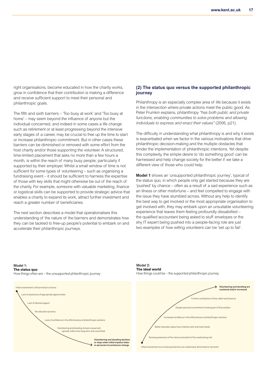right organisations, become educated in how the charity works, grow in confidence that their contribution is making a difference and receive sufficient support to meet their personal and philanthropic goals.

The fifth and sixth barriers – 'Too busy at work' and 'Too busy at home' – may seem beyond the influence of anyone but the individual concerned, and indeed in some cases a life change such as retirement or at least progressing beyond the intensive early stages of a career, may be crucial to free up the time to start or increase philanthropic commitment. But in other cases these barriers can be diminished or removed with some effort from the host charity and/or those supporting the volunteer. A structured, time-limited placement that asks no more than a few hours a month, is within the reach of many busy people, particularly if supported by their employer. Whilst a small window of time is not sufficient for some types of volunteering – such as organising a fundraising event – it should be sufficient to harness the expertise of those with key skills that might otherwise be out of the reach of the charity. For example, someone with valuable marketing, finance or logistical skills can be supported to provide strategic advice that enables a charity to expand its work, attract further investment and reach a greater number of beneficiaries.

The next section describes a model that operationalises this understanding of the nature of the barriers and demonstrates how they can be tackled to free-up people's potential to embark on and accelerate their philanthropic journeys.

#### **(2) The status quo versus the supported philanthropic journey**

Philanthropy is an especially complex area of life because it exists in the intersection where private actions meet the public good. As Peter Frumkin explains, philanthropy *"has both public and private functions, enabling communities to solve problems and allowing individuals to express and enact their values"* (2006, p21).

The difficulty in understanding what philanthropy is and why it exists is exacerbated when we factor in the various motivations that drive philanthropic decision-making and the multiple obstacles that hinder the implementation of philanthropic intentions. Yet despite this complexity, the simple desire to 'do something good' can be harnessed and help change society for the better if we take a different view of those who could help.

the issue they have stumbled across. Without any help to identify the issue they have stumbled across. Without any help to identify<br>the best way to get involved or the most appropriate organisation to **Model 1** shows an 'unsupported philanthropic journey', typical of  'pushed' by chance – often as a result of a sad experience such as an illness or other misfortune – and feel compelled to engage with the status quo, in which people only get started because they are get involved with, they may embark upon an unsuitable volunteering experience that leaves them feeling profoundly dissatisfied – the qualified accountant being asked to stuff envelopes or the shy IT expert being pushed into a people-facing role are just two examples of how willing volunteers can be 'set up to fail'.



Model 1:

Volunteering and donating declines<br>or stops when initial impetus fades or personal circumstances change Volunteering and donating remains casual and episodic rather than long-term and committed Lack of confidence in the effectiveness of philanthropic solutions ack of tailored support No education process ack of awareness of appropriate opportunities Initial involvement is left primarily to chance

Model 2: **The ideal world**  How things could be – the supported philanthropic journey

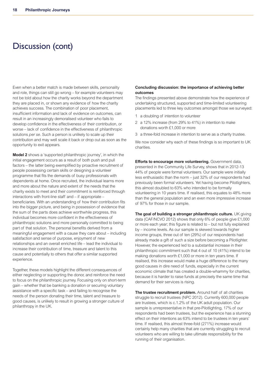### Discussion (cont)

Even when a better match is made between skills, personality and role, things can still go wrong – for example volunteers may not be told about how the charity works beyond the department they are placed in, or shown any evidence of how the charity achieves success. The combination of poor placement, insufficient information and lack of evidence on outcomes, can result in an increasingly demoralised volunteer who fails to develop confidence in the effectiveness of their contribution, or worse – lack of confidence in the effectiveness of philanthropic solutions *per se*. Such a person is unlikely to scale up their contribution and may well scale it back or drop out as soon as the opportunity to exit appears.

**Model 2** shows a 'supported philanthropic journey', in which the initial engagement occurs as a result of both push and pull factors – the latter being exemplified by proactive recruitment of people possessing certain skills or designing a volunteer programme that fits the demands of busy professionals with dependents at home. Once recruited, the individual learns more and more about the nature and extent of the needs that the charity exists to meet and their commitment is reinforced through interactions with front-line staff and – if appropriate – beneficiaries. With an understanding of how their contribution fits into the bigger picture, and being in possession of evidence that the sum of the parts does achieve worthwhile progress, this individual becomes more confident in the effectiveness of philanthropic solutions and more personally committed to being part of that solution. The personal benefits derived from a meaningful engagement with a cause they care about – including satisfaction and sense of purpose, enjoyment of new relationships and an overall enriched life – lead the individual to increase their contribution of time, treasure and talent to this cause and potentially to others that offer a similar supported experience.

Together, these models highlight the different consequences of either neglecting or supporting the donor, and reinforce the need to focus on the philanthropic journey. Focusing only on short-term gain – whether that be banking a donation or securing voluntary assistance with a specific task – and failing to recognise the needs of the person donating their time, talent and treasure to good causes, is unlikely to result in growing a stronger culture of philanthropy in the UK.

#### **Concluding discussion: the importance of achieving better outcomes**

The findings presented above demonstrate how the experience of undertaking structured, supported and time-limited volunteering placements led to three key outcomes amongst those we surveyed:

- 1 a doubling of intention to volunteer
- 2 a 12% increase (from 29% to 41%) in intention to make donations worth £1,000 or more
- 3 a three-fold increase in intention to serve as a charity trustee.

We now consider why each of these findings is so important to UK charities.

**Efforts to encourage more volunteering.** Government data, presented in the Community Life Survey, shows that in 2012-13 44% of people were formal volunteers. Our sample were initially less enthusiastic than the norm – just 32% of our respondents had previously been formal volunteers. Yet having become Pilotlighters, this almost doubled to 63% who intended to be formally volunteering in 10 years time. If realised, this equates to 48% more than the general population and an even more impressive increase of 97% for those in our sample.

**The goal of building a stronger philanthropic culture.** UK giving data (CAF/NCVO 2012) shows that only 6% of people give £1,000 or more each year; this figure is related to – but not fully explained by – income levels. As our sample is skewed towards higher income groups, three out of ten (29%) of our respondents had already made a gift of such a size before becoming a Pilotlighter. However, the experienced led to a substantial increase in their philanthropic commitment such that 4 out of 10 (41%) intend to be making donations worth £1,000 or more in ten years time. If realised, this increase would make a huge difference to the many good causes in dire need of funds, especially in the current economic climate that has created a double-whammy for charities, because it is harder to raise funds at precisely the same time that demand for their services is rising.

**The trustee recruitment problem.** Around half of all charities struggle to recruit trustees (NPC 2012). Currently 600,000 people are trustees, which is c.1.2% of the UK adult population. Our sample is unrepresentative in that pre-Pilotlighting, 17% of our respondents had been trustees, but the experience has a stunning effect on their intentions as 63% intend to be trustees in ten years' time. If realised, this almost three-fold (271%) increase would certainly help many charities that are currently struggling to recruit volunteers who are willing to take ultimate responsibility for the running of their organisation.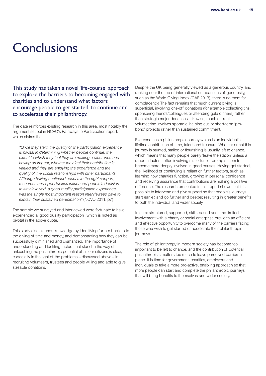### **Conclusions**

This study has taken a novel 'life-course' approach to explore the barriers to becoming engaged with charities and to understand what factors encourage people to get started, to continue and to accelerate their philanthropy.

The data reinforces existing research in this area, most notably the argument set out in NCVO's Pathways to Participation report, which claims that:

*"Once they start, the quality of the participation experience is pivotal in determining whether people continue: the extent to which they feel they are making a difference and having an impact, whether they feel their contribution is valued and they are enjoying the experience and the quality of the social relationships with other participants. Although having continued access to the right support, resources and opportunities influenced people's decision to stay involved, a good quality participation experience was the single most important reason interviewees gave to explain their sustained participation"* (NCVO 2011, p7)

The sample we surveyed and interviewed were fortunate to have experienced a 'good quality participation', which is noted as pivotal in the above quote.

This study also extends knowledge by identifying further barriers to the giving of time and money, and demonstrating how they can be successfully diminished and dismantled. The importance of understanding and tackling factors that stand in the way of unleashing the philanthropic potential of all our citizens is clear, especially in the light of the problems – discussed above – in recruiting volunteers, trustees and people willing and able to give sizeable donations.

Despite the UK being generally viewed as a generous country, and ranking near the top of international comparisons of generosity, such as the World Giving Index (CAF 2013), there is no room for complacency. The fact remains that much current giving is superficial, involving one-off donations (for example collecting tins, sponsoring friends/colleagues or attending gala dinners) rather than strategic major donations. Likewise, much current volunteering involves sporadic 'helping out' or short-term 'probono' projects rather than sustained commitment.

Everyone has a philanthropic journey which is an individual's lifetime contribution of time, talent and treasure. Whether or not this journey is stunted, stalled or flourishing is usually left to chance, which means that many people barely 'leave the station' unless a random factor – often involving misfortune – prompts them to become more deeply involved in good causes. Having got started, the likelihood of continuing is reliant on further factors, such as learning how charities function, growing in personal confidence and receiving assurance that contributions are making a positive difference. The research presented in this report shows that it is possible to intervene and give support so that people's journeys start earlier, and go further and deeper, resulting in greater benefits to both the individual and wider society.

In sum: structured, supported, skills-based and time-limited involvement with a charity or social enterprise provides an efficient and effective opportunity to overcome many of the barriers facing those who wish to get started or accelerate their philanthropic journeys.

The role of philanthropy in modern society has become too important to be left to chance, and the contribution of potential philanthropists matters too much to leave perceived barriers in place. It is time for government, charities, employers and individuals to take a more pro-active, enabling approach so that more people can start and complete the philanthropic journeys that will bring benefits to themselves and wider society.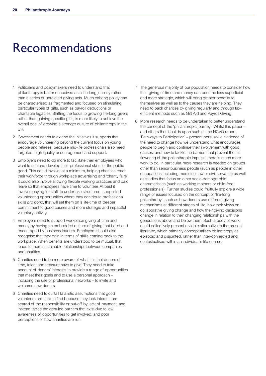## Recommendations

- 1 Politicians and policymakers need to understand that philanthropy is better conceived as a life-long journey rather than a series of unrelated giving acts. Much existing policy can be characterised as fragmented and focused on stimulating particular types of gifts, such as payroll deductions or charitable legacies. Shifting the focus to growing life-long givers rather than gaining specific gifts, is more likely to achieve the overall goal of growing a stronger culture of philanthropy in the UK.
- 2 Government needs to extend the initiatives it supports that encourage volunteering beyond the current focus on young people and retirees, because mid-life professionals also need targeted, high-quality encouragement and support.
- 3 Employers need to do more to facilitate their employees who want to use and develop their professional skills for the public good. This could involve, at a minimum, helping charities reach their workforce through workplace advertising and 'charity fairs'. It could also involve allowing flexible working practices and paid leave so that employees have time to volunteer. At best it involves paying for staff to undertake structured, supported volunteering opportunities where they contribute professional skills *pro bono*, that will set them on a life-time of deeper commitment to good causes and more strategic and impactful voluntary activity.
- 4 Employers need to support workplace giving of time and money by having an embedded culture of giving that is led and encouraged by business leaders. Employers should also recognise that they gain in terms of skills coming back to the workplace. When benefits are understood to be mutual, that leads to more sustainable relationships between companies and charities.
- 5 Charities need to be more aware of what it is that donors of time, talent and treasure have to give. They need to take account of donors' interests to provide a range of opportunities that meet their goals and to use a personal approach – including the use of professional networks – to invite and welcome new donors.
- 6 Charities need to curtail fatalistic assumptions that good volunteers are hard to find because they lack interest, are scared of the responsibility or put-off by lack of payment, and instead tackle the genuine barriers that exist due to low awareness of opportunities to get involved, and poor perceptions of how charities are run.
- 7 The generous majority of our population needs to consider how their giving of time and money can become less superficial and more strategic, which will bring greater benefits to themselves as well as to the causes they are helping. They need to back charities by giving regularly and through taxefficient methods such as Gift Aid and Payroll Giving.
- 8 More research needs to be undertaken to better understand the concept of the 'philanthropic journey'. Whilst this paper – and others that it builds upon such as the NCVO report 'Pathways to Participation' – present persuasive evidence of the need to change how we understand what encourages people to begin and continue their involvement with good causes, and how to tackle the barriers that prevent the full flowering of the philanthropic impulse, there is much more work to do. In particular, more research is needed on groups other than senior business people (such as people in other occupations including medicine, law or civil servants) as well as studies that focus on other socio-demographic characteristics (such as working mothers or child-free professionals). Further studies could fruitfully explore a wide range of issues focused on the concept of 'life-long philanthropy', such as how donors use different giving mechanisms at different stages of life, how their views on collaborative giving change and how their giving decisions change in relation to their changing relationships with the generations above and below them. Such a body of work could collectively present a viable alternative to the present literature, which primarily conceptualises philanthropy as episodic and disjointed, rather than inter-connected and contextualised within an individual's life-course.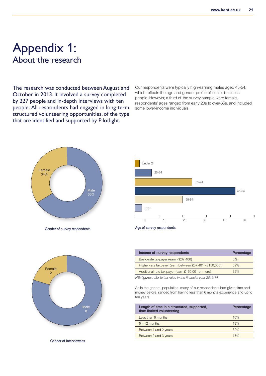### Appendix 1: About the research

The research was conducted between August and October in 2013. It involved a survey completed by 227 people and in-depth interviews with ten people. All respondents had engaged in long-term, structured volunteering opportunities, of the type that are identified and supported by Pilotlight.

Our respondents were typically high-earning males aged 45-54, which reflects the age and gender profile of senior business people. However, a third of the survey sample were female, respondents' ages ranged from early 20s to over-65s, and included some lower-income individuals.



**Gender of survey respondents**





**Age of survey respondents**

| Income of survey respondents                           | Percentage |
|--------------------------------------------------------|------------|
| Basic-rate taxpayer (earn <£37,400)                    | 6%         |
| Higher-rate taxpayer (earn between £37,401 - £150,000) | 62%        |
| Additional rate tax payer (earn £150,001 or more)      | 32%        |
|                                                        |            |

*NB: figures refer to tax rates in the financial year 2013/14*

As in the general population, many of our respondents had given time and money before, ranged from having less than 6 months experience and up to ten years

| Length of time in a structured, supported,<br>time-limited volunteering | Percentage |
|-------------------------------------------------------------------------|------------|
| Less than 6 months                                                      | 16%        |
| $6 - 12$ months                                                         | 19%        |
| Between 1 and 2 years                                                   | 30%        |
| Between 2 and 3 years                                                   | 17%        |
|                                                                         |            |

**Gender of interviewees**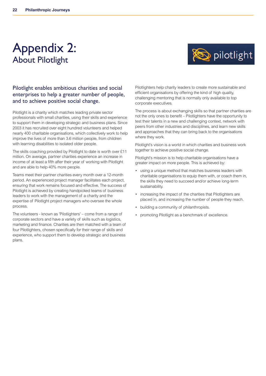### Appendix 2: About Pilotlight



#### Pilotlight enables ambitious charities and social enterprises to help a greater number of people, and to achieve positive social change.

Pilotlight is a charity which matches leading private sector professionals with small charities, using their skills and experience to support them in developing strategic and business plans. Since 2003 it has recruited over eight hundred volunteers and helped nearly 400 charitable organisations, which collectively work to help improve the lives of more than 3.6 million people, from children with learning disabilities to isolated older people.

The skills coaching provided by Pilotlight to date is worth over £11 million. On average, partner charities experience an increase in income of at least a fifth after their year of working with Pilotlight and are able to help 40% more people.

Teams meet their partner charities every month over a 12-month period. An experienced project manager facilitates each project, ensuring that work remains focused and effective. The success of Pilotlight is achieved by creating handpicked teams of business leaders to work with the management of a charity and the expertise of Pilotlight project managers who oversee the whole process.

The volunteers - known as 'Pilotlighters' – come from a range of corporate sectors and have a variety of skills such as logistics, marketing and finance. Charities are then matched with a team of four Pilotlighters, chosen specifically for their range of skills and experience, who support them to develop strategic and business plans.

Pilotlighters help charity leaders to create more sustainable and efficient organisations by offering the kind of high quality, challenging mentoring that is normally only available to top corporate executives.

The process is about exchanging skills so that partner charities are not the only ones to benefit – Pilotlighters have the opportunity to test their talents in a new and challenging context, network with peers from other industries and disciplines, and learn new skills and approaches that they can bring back to the organisations where they work.

Pilotlight's vision is a world in which charities and business work together to achieve positive social change.

Pilotlight's mission is to help charitable organisations have a greater impact on more people. This is achieved by:

- using a unique method that matches business leaders with charitable organisations to equip them with, or coach them in, the skills they need to succeed and/or achieve long-term sustainability.
- increasing the impact of the charities that Pilotlighters are placed in, and increasing the number of people they reach.
- building a community of philanthropists.
- promoting Pilotlight as a benchmark of excellence.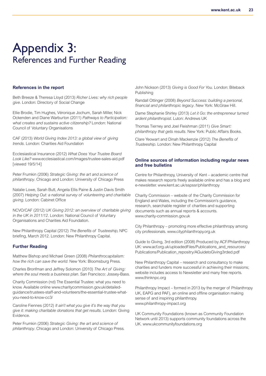### Appendix 3: References and Further Reading

#### **References in the report**

Beth Breeze & Theresa Lloyd (2013) *Richer Lives: why rich people give*. London: Directory of Social Change

Ellie Brodie, Tim Hughes, Véronique Jochum, Sarah Miller, Nick Ockenden and Diane Warburton (2011) *Pathways to Participation: what creates and sustains active citizenship?* London: National Council of Voluntary Organisations

CAF (2013) *World Giving Index 2013: a global view of giving trends*. London: Charities Aid Foundation

Ecclesiastical Insurance (2012) *What Does Your Trustee Board Look Like?* www.ecclesiastical.com/Images/trustee-sales-aid.pdf [viewed 19/5/14]

Peter Frumkin (2006) *Strategic Giving: the art and science of philanthropy*. Chicago and London: University of Chicago Press

Natalie Lowe, Sarah Butt, Angela Ellis Paine & Justin Davis Smith (2007) *Helping Out: a national survey of volunteering and charitable giving*. London: Cabinet Office

NCVO/CAF (2012) U*K Giving 2012: an overview of charitable giving in the UK in 2011/12*. London: National Council of Voluntary Organisations and Charities Aid Foundation.

New Philanthropy Capital (2012) *The Benefits of Trusteeship,* NPC briefing, March 2012. London: New Philanthropy Capital.

#### **Further Reading**

Matthew Bishop and Michael Green (2008) *Philanthrocapitalism: how the rich can save the world*. New York: Bloomsburg Press.

Charles Bronfman and Jeffrey Solomon (2010) *The Art of Giving: where the soul meets a business plan.* San Francisco: Jossey-Bass.

Charity Commission (nd) The Essential Trustee: what you need to know. Available online www.charitycommission.gov.uk/detailedguidance/trustees-staff-and-volunteers/the-essential-trustee-whatyou-need-to-know-cc3/

Caroline Fiennes (2012) *It ain't what you give it's the way that you give it: making charitable donations that get results*. London: Giving Evidence.

Peter Frumkin (2006) *Strategic Giving: the art and science of philanthropy*. Chicago and London: University of Chicago Press. John Nickson (2013) *Giving is Good For You*. London: Biteback Publishing

Randall Ottinger (2008) *Beyond Success: building a personal, financial and philanthropic legacy*. New York: McGraw Hill.

Dame Stephanie Shirley (2013) *Let it Go: the entrepreneur turned ardent philanthropist*. Luton: Andrews UK

Thomas Tierney and Joel Fleishman (2011) *Give Smart: philanthropy that gets results*. New York: Public Affairs Books.

Clare Yeowart and Dinah Mackenzie (2012) *The Benefits of Trusteeship*. London: New Philanthropy Capital

#### **Online sources of information including regular news and free bulletins**

Centre for Philanthropy, University of Kent – academic centre that makes research reports freely available online and has a blog and e-newsletter. www.kent.ac.uk/sspssr/philanthropy

Charity Commission – website of the Charity Commission for England and Wales, including the Commission's guidance, research, searchable register of charities and supporting documents such as annual reports & accounts. www.charity-commission.gov.uk

City Philanthropy – promoting more effective philanthropy among city professionals. www.cityphilanthropy.org.uk

Guide to Giving, 3rd edition (2008) Produced by ACF/Philanthropy UK: www.acf.org.uk/uploadedFiles/Publications\_and\_resources/ Publications/Publication\_repositry/AGuidetoGiving3rded.pdf

New Philanthropy Capital – research and consultancy to make charities and funders more successful in achieving their missions; website includes access to Newsletter and many free reports. www.thinknpc.org

Philanthropy Impact – formed in 2013 by the merger of Philanthropy UK, EAPG and PAF), an online and offline organisation making sense of and inspiring philanthropy. www.philanthropy-impact.org

UK Community Foundations (known as Community Foundation Network until 2013) supports community foundations across the UK. www.ukcommunityfoundations.org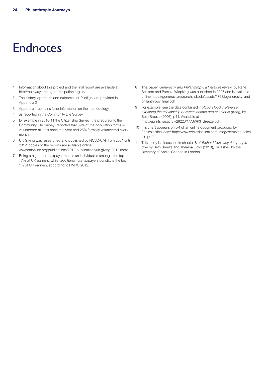## Endnotes

- 1 Information about this project and the final report are available at http://pathwaysthroughparticipation.org.uk/
- 2 The history, approach and outcomes of Pilotlight are provided in Appendix 2
- 3 Appendix 1 contains fuller information on the methodology
- 4 as reported in the Community Life Survey
- 5 for example in 2010-11 the Citizenship Survey (the precursor to the Community Life Survey) reported that 39% of the population formally volunteered at least once that year and 25% formally volunteered every month,
- 6 UK Giving was researched and published by NCVO/CAF from 2004 until 2012, copies of the reports are available online www.cafonline.org/publications/2012-publications/uk-giving-2012.aspx
- 7 Being a higher-rate taxpayer means an individual is amongst the top 17% of UK earners, whilst additional-rate taxpayers constitute the top 1% of UK earners, according to HMRC 2012.
- 8 This paper, *Generosity and Philanthropy: a literature review,* by Rene Bekkers and Pamala Wiepking was published in 2007 and is available online https://generosityresearch.nd.edu/assets/17632/generosity\_and\_ philanthropy\_final.pdf
- 9 For example, see the data contained in *Robin Hood in Reverse: exploring the relationship between income and charitable giving*, by Beth Breeze (2006), p41. Available at http://eprints.lse.ac.uk/29223/1/VSWP3\_Breeze.pdf
- 10 this chart appears on p.4 of an online document produced by Ecclesiastical.com: http://www.ecclesiastical.com/Images/trustee-salesaid.pdf
- 11 This study is discussed in chapter 8 of *Richer Lives: why rich people give* by Beth Breeze and Theresa Lloyd (2013), published by the Directory of Social Change in London.